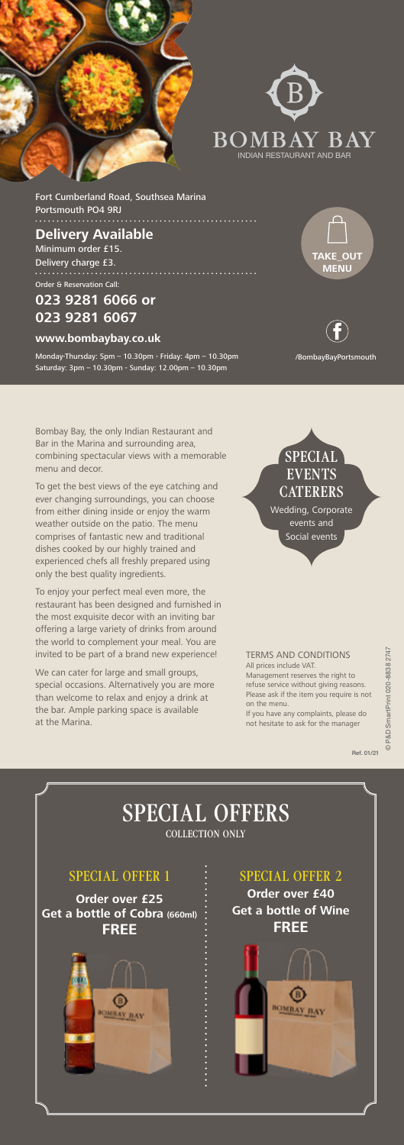



Fort Cumberland Road, Southsea Marina Portsmouth PO4 9RJ

### **Delivery Available** Minimum order £15. Delivery charge £3.

Order & Reservation Call:

## **023 9281 6066 or 023 9281 6067**

#### **www.bombaybay.co.uk**

Monday-Thursday: 5pm – 10.30pm - Friday: 4pm – 10.30pm Saturday: 3pm – 10.30pm - Sunday: 12.00pm – 10.30pm

Bombay Bay, the only Indian Restaurant and Bar in the Marina and surrounding area, combining spectacular views with a memorable menu and decor.

To get the best views of the eye catching and ever changing surroundings, you can choose from either dining inside or enjoy the warm weather outside on the patio. The menu comprises of fantastic new and traditional dishes cooked by our highly trained and experienced chefs all freshly prepared using only the best quality ingredients.

To enjoy your perfect meal even more, the restaurant has been designed and furnished in the most exquisite decor with an inviting bar offering a large variety of drinks from around the world to complement your meal. You are invited to be part of a brand new experience!

We can cater for large and small groups, special occasions. Alternatively you are more than welcome to relax and enjoy a drink at the bar. Ample parking space is available at the Marina.

# **SPECIAL EVENTS CATERERS**

/BombayBayPortsmouth



Wedding, Corporate events and Social events

TERMS AND CONDITIONS All prices include VAT. Management reserves the right to

refuse service without giving reasons. Please ask if the item you require is not on the menu.

If you have any complaints, please do not hesitate to ask for the manager

SPECIAL OFFER 1

#### **Order over £25 Get a bottle of Cobra (660ml) FREE**



SPECIAL OFFER 2 **Order over £40 Get a bottle of Wine FREE**

# SPECIAL OFFERS COLLECTION ONLY

Ref. 01/21